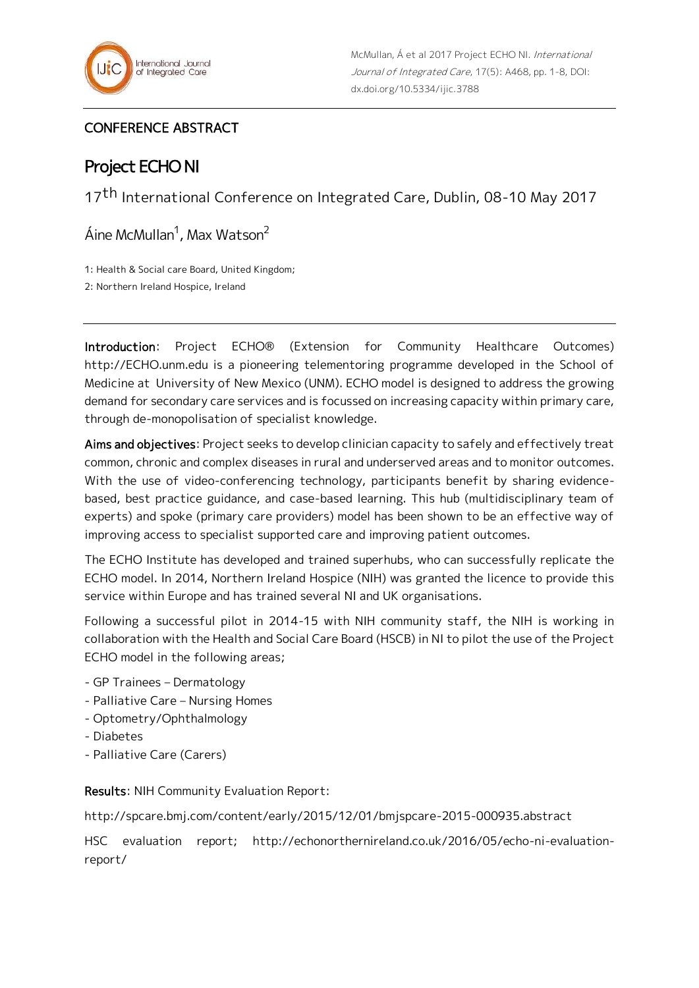

## CONFERENCE ABSTRACT

## Project ECHO NI

17<sup>th</sup> International Conference on Integrated Care, Dublin, 08-10 May 2017

Áine McMullan<sup>1</sup>, Max Watson<sup>2</sup>

1: Health & Social care Board, United Kingdom;

2: Northern Ireland Hospice, Ireland

Introduction: Project ECHO® (Extension for Community Healthcare Outcomes) http://ECHO.unm.edu is a pioneering telementoring programme developed in the School of Medicine at University of New Mexico (UNM). ECHO model is designed to address the growing demand for secondary care services and is focussed on increasing capacity within primary care, through de-monopolisation of specialist knowledge.

Aims and objectives: Project seeks to develop clinician capacity to safely and effectively treat common, chronic and complex diseases in rural and underserved areas and to monitor outcomes. With the use of video-conferencing technology, participants benefit by sharing evidencebased, best practice guidance, and case-based learning. This hub (multidisciplinary team of experts) and spoke (primary care providers) model has been shown to be an effective way of improving access to specialist supported care and improving patient outcomes.

The ECHO Institute has developed and trained superhubs, who can successfully replicate the ECHO model. In 2014, Northern Ireland Hospice (NIH) was granted the licence to provide this service within Europe and has trained several NI and UK organisations.

Following a successful pilot in 2014-15 with NIH community staff, the NIH is working in collaboration with the Health and Social Care Board (HSCB) in NI to pilot the use of the Project ECHO model in the following areas;

- GP Trainees Dermatology
- Palliative Care Nursing Homes
- Optometry/Ophthalmology
- Diabetes
- Palliative Care (Carers)

Results: NIH Community Evaluation Report:

http://spcare.bmj.com/content/early/2015/12/01/bmjspcare-2015-000935.abstract

HSC evaluation report; http://echonorthernireland.co.uk/2016/05/echo-ni-evaluationreport/